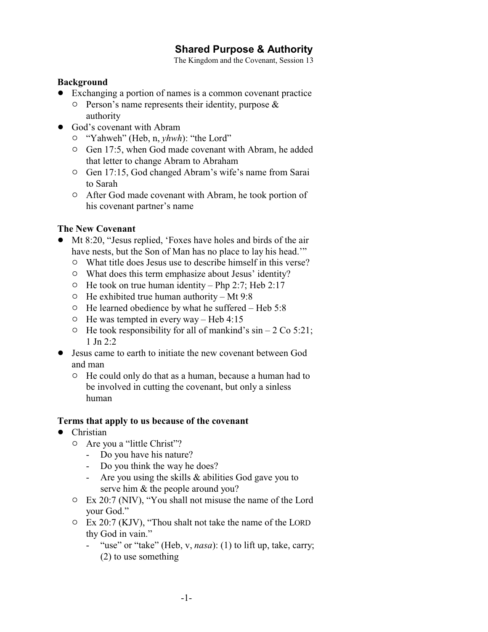# **Shared Purpose & Authority**

The Kingdom and the Covenant, Session 13

#### **Background**

- ! Exchanging a portion of names is a common covenant practice
	- $\circ$  Person's name represents their identity, purpose & authority
- God's covenant with Abram
	- " "Yahweh" (Heb, n, *yhwh*): "the Lord"
	- <sup>o</sup> Gen 17:5, when God made covenant with Abram, he added that letter to change Abram to Abraham
	- <sup>o</sup> Gen 17:15, God changed Abram's wife's name from Sarai to Sarah
	- <sup> $\circ$ </sup> After God made covenant with Abram, he took portion of his covenant partner's name

### **The New Covenant**

- ! Mt 8:20, "Jesus replied, 'Foxes have holes and birds of the air have nests, but the Son of Man has no place to lay his head."
	- $\circ$  What title does Jesus use to describe himself in this verse?
	- $\circ$  What does this term emphasize about Jesus' identity?
	- $\circ$  He took on true human identity Php 2:7; Heb 2:17
	- $\circ$  He exhibited true human authority Mt 9:8
	- $\circ$  He learned obedience by what he suffered Heb 5:8
	- $\circ$  He was tempted in every way Heb 4:15
	- $\circ$  He took responsibility for all of mankind's sin 2 Co 5:21; 1 Jn  $2.2$
- ! Jesus came to earth to initiate the new covenant between God and man
	- $\circ$  He could only do that as a human, because a human had to be involved in cutting the covenant, but only a sinless human

### **Terms that apply to us because of the covenant**

- Christian
	- $\circ$  Are you a "little Christ"?
		- Do you have his nature?
		- Do you think the way he does?
		- Are you using the skills & abilities God gave you to serve him & the people around you?
	- $\circ$  Ex 20:7 (NIV), "You shall not misuse the name of the Lord your God."
	- $\degree$  Ex 20:7 (KJV), "Thou shalt not take the name of the LORD thy God in vain."
		- "use" or "take" (Heb, v, *nasa*): (1) to lift up, take, carry; (2) to use something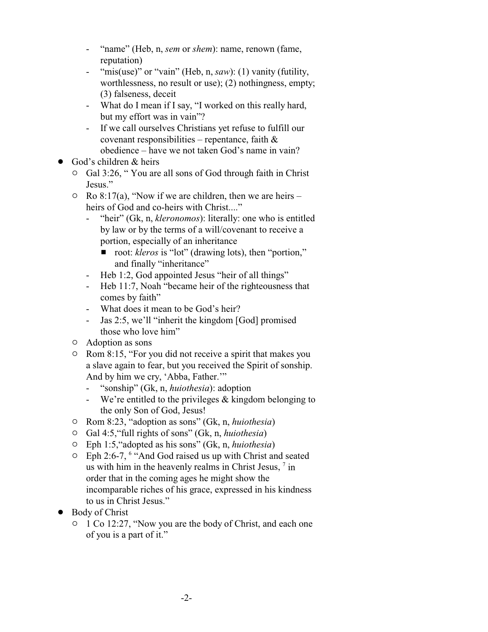- "name" (Heb, n, *sem* or *shem*): name, renown (fame, reputation)
- "mis(use)" or "vain" (Heb, n, *saw*): (1) vanity (futility, worthlessness, no result or use); (2) nothingness, empty; (3) falseness, deceit
- What do I mean if I say, "I worked on this really hard, but my effort was in vain"?
- If we call ourselves Christians yet refuse to fulfill our covenant responsibilities – repentance, faith  $\&$ obedience – have we not taken God's name in vain?
- ! God's children & heirs
	- <sup>o</sup> Gal 3:26, " You are all sons of God through faith in Christ Jesus."
	- $\circ$  Ro 8:17(a), "Now if we are children, then we are heirs heirs of God and co-heirs with Christ...."
		- "heir" (Gk, n, *kleronomos*): literally: one who is entitled by law or by the terms of a will/covenant to receive a portion, especially of an inheritance
			- root: *kleros* is "lot" (drawing lots), then "portion," and finally "inheritance"
		- Heb 1:2, God appointed Jesus "heir of all things"
		- Heb 11:7, Noah "became heir of the righteousness that comes by faith"
		- What does it mean to be God's heir?
		- Jas 2:5, we'll "inherit the kingdom [God] promised those who love him"
	- $\circ$  Adoption as sons
	- $\circ$  Rom 8:15, "For you did not receive a spirit that makes you a slave again to fear, but you received the Spirit of sonship. And by him we cry, 'Abba, Father.'"
		- "sonship" (Gk, n, *huiothesia*): adoption
		- We're entitled to the privileges & kingdom belonging to the only Son of God, Jesus!
	- " Rom 8:23, "adoption as sons" (Gk, n, *huiothesia*)
	- " Gal 4:5,"full rights of sons" (Gk, n, *huiothesia*)
	- " Eph 1:5,"adopted as his sons" (Gk, n, *huiothesia*)
	- " Eph 2:6-7, <sup>6</sup> "And God raised us up with Christ and seated us with him in the heavenly realms in Christ Jesus,  $<sup>7</sup>$  in</sup> order that in the coming ages he might show the incomparable riches of his grace, expressed in his kindness to us in Christ Jesus."
- Body of Christ
	- <sup>o</sup> 1 Co 12:27, "Now you are the body of Christ, and each one of you is a part of it."